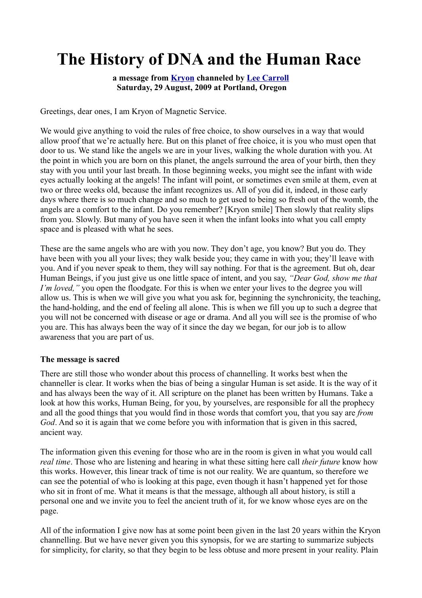# **The History of DNA and the Human Race**

 **a message from [Kryon](http://spiritlibrary.com/spiritual-entities/kryon) channeled by [Lee Carroll](http://spiritlibrary.com/lee-carroll) Saturday, 29 August, 2009 at Portland, Oregon**

Greetings, dear ones, I am Kryon of Magnetic Service.

We would give anything to void the rules of free choice, to show ourselves in a way that would allow proof that we're actually here. But on this planet of free choice, it is you who must open that door to us. We stand like the angels we are in your lives, walking the whole duration with you. At the point in which you are born on this planet, the angels surround the area of your birth, then they stay with you until your last breath. In those beginning weeks, you might see the infant with wide eyes actually looking at the angels! The infant will point, or sometimes even smile at them, even at two or three weeks old, because the infant recognizes us. All of you did it, indeed, in those early days where there is so much change and so much to get used to being so fresh out of the womb, the angels are a comfort to the infant. Do you remember? [Kryon smile] Then slowly that reality slips from you. Slowly. But many of you have seen it when the infant looks into what you call empty space and is pleased with what he sees.

These are the same angels who are with you now. They don't age, you know? But you do. They have been with you all your lives; they walk beside you; they came in with you; they'll leave with you. And if you never speak to them, they will say nothing. For that is the agreement. But oh, dear Human Beings, if you just give us one little space of intent, and you say, *"Dear God, show me that I'm loved,"* you open the floodgate. For this is when we enter your lives to the degree you will allow us. This is when we will give you what you ask for, beginning the synchronicity, the teaching, the hand-holding, and the end of feeling all alone. This is when we fill you up to such a degree that you will not be concerned with disease or age or drama. And all you will see is the promise of who you are. This has always been the way of it since the day we began, for our job is to allow awareness that you are part of us.

## **The message is sacred**

There are still those who wonder about this process of channelling. It works best when the channeller is clear. It works when the bias of being a singular Human is set aside. It is the way of it and has always been the way of it. All scripture on the planet has been written by Humans. Take a look at how this works, Human Being, for you, by yourselves, are responsible for all the prophecy and all the good things that you would find in those words that comfort you, that you say are *from God*. And so it is again that we come before you with information that is given in this sacred, ancient way.

The information given this evening for those who are in the room is given in what you would call *real time*. Those who are listening and hearing in what these sitting here call *their future* know how this works. However, this linear track of time is not our reality. We are quantum, so therefore we can see the potential of who is looking at this page, even though it hasn't happened yet for those who sit in front of me. What it means is that the message, although all about history, is still a personal one and we invite you to feel the ancient truth of it, for we know whose eyes are on the page.

All of the information I give now has at some point been given in the last 20 years within the Kryon channelling. But we have never given you this synopsis, for we are starting to summarize subjects for simplicity, for clarity, so that they begin to be less obtuse and more present in your reality. Plain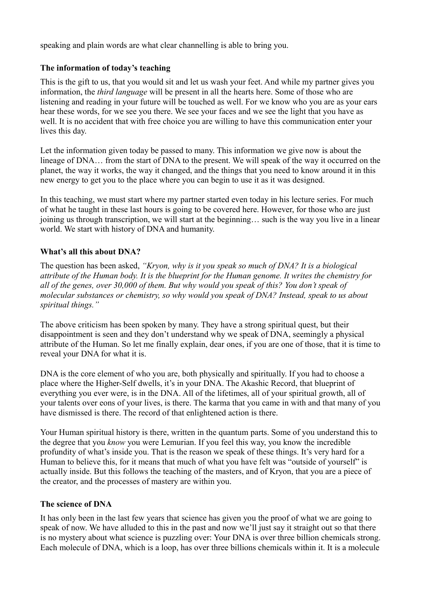speaking and plain words are what clear channelling is able to bring you.

## **The information of today's teaching**

This is the gift to us, that you would sit and let us wash your feet. And while my partner gives you information, the *third language* will be present in all the hearts here. Some of those who are listening and reading in your future will be touched as well. For we know who you are as your ears hear these words, for we see you there. We see your faces and we see the light that you have as well. It is no accident that with free choice you are willing to have this communication enter your lives this day.

Let the information given today be passed to many. This information we give now is about the lineage of DNA... from the start of DNA to the present. We will speak of the way it occurred on the planet, the way it works, the way it changed, and the things that you need to know around it in this new energy to get you to the place where you can begin to use it as it was designed.

In this teaching, we must start where my partner started even today in his lecture series. For much of what he taught in these last hours is going to be covered here. However, for those who are just joining us through transcription, we will start at the beginning… such is the way you live in a linear world. We start with history of DNA and humanity.

# **What's all this about DNA?**

The question has been asked, *"Kryon, why is it you speak so much of DNA? It is a biological attribute of the Human body. It is the blueprint for the Human genome. It writes the chemistry for all of the genes, over 30,000 of them. But why would you speak of this? You don't speak of molecular substances or chemistry, so why would you speak of DNA? Instead, speak to us about spiritual things."*

The above criticism has been spoken by many. They have a strong spiritual quest, but their disappointment is seen and they don't understand why we speak of DNA, seemingly a physical attribute of the Human. So let me finally explain, dear ones, if you are one of those, that it is time to reveal your DNA for what it is.

DNA is the core element of who you are, both physically and spiritually. If you had to choose a place where the Higher-Self dwells, it's in your DNA. The Akashic Record, that blueprint of everything you ever were, is in the DNA. All of the lifetimes, all of your spiritual growth, all of your talents over eons of your lives, is there. The karma that you came in with and that many of you have dismissed is there. The record of that enlightened action is there.

Your Human spiritual history is there, written in the quantum parts. Some of you understand this to the degree that you *know* you were Lemurian. If you feel this way, you know the incredible profundity of what's inside you. That is the reason we speak of these things. It's very hard for a Human to believe this, for it means that much of what you have felt was "outside of yourself" is actually inside. But this follows the teaching of the masters, and of Kryon, that you are a piece of the creator, and the processes of mastery are within you.

## **The science of DNA**

It has only been in the last few years that science has given you the proof of what we are going to speak of now. We have alluded to this in the past and now we'll just say it straight out so that there is no mystery about what science is puzzling over: Your DNA is over three billion chemicals strong. Each molecule of DNA, which is a loop, has over three billions chemicals within it. It is a molecule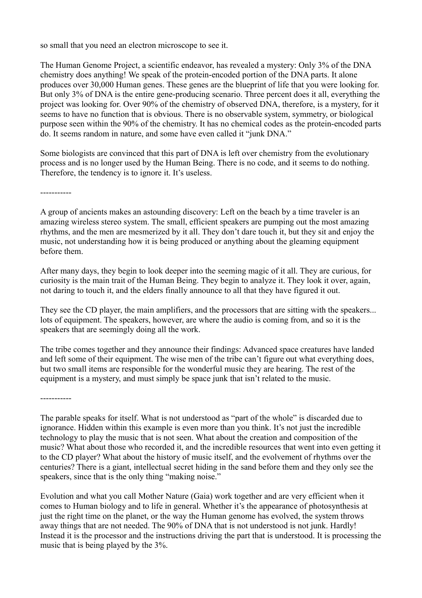so small that you need an electron microscope to see it.

The Human Genome Project, a scientific endeavor, has revealed a mystery: Only 3% of the DNA chemistry does anything! We speak of the protein-encoded portion of the DNA parts. It alone produces over 30,000 Human genes. These genes are the blueprint of life that you were looking for. But only 3% of DNA is the entire gene-producing scenario. Three percent does it all, everything the project was looking for. Over 90% of the chemistry of observed DNA, therefore, is a mystery, for it seems to have no function that is obvious. There is no observable system, symmetry, or biological purpose seen within the 90% of the chemistry. It has no chemical codes as the protein-encoded parts do. It seems random in nature, and some have even called it "junk DNA."

Some biologists are convinced that this part of DNA is left over chemistry from the evolutionary process and is no longer used by the Human Being. There is no code, and it seems to do nothing. Therefore, the tendency is to ignore it. It's useless.

A group of ancients makes an astounding discovery: Left on the beach by a time traveler is an amazing wireless stereo system. The small, efficient speakers are pumping out the most amazing rhythms, and the men are mesmerized by it all. They don't dare touch it, but they sit and enjoy the music, not understanding how it is being produced or anything about the gleaming equipment before them.

After many days, they begin to look deeper into the seeming magic of it all. They are curious, for curiosity is the main trait of the Human Being. They begin to analyze it. They look it over, again, not daring to touch it, and the elders finally announce to all that they have figured it out.

They see the CD player, the main amplifiers, and the processors that are sitting with the speakers... lots of equipment. The speakers, however, are where the audio is coming from, and so it is the speakers that are seemingly doing all the work.

The tribe comes together and they announce their findings: Advanced space creatures have landed and left some of their equipment. The wise men of the tribe can't figure out what everything does, but two small items are responsible for the wonderful music they are hearing. The rest of the equipment is a mystery, and must simply be space junk that isn't related to the music.

-----------

-----------

Evolution and what you call Mother Nature (Gaia) work together and are very efficient when it comes to Human biology and to life in general. Whether it's the appearance of photosynthesis at just the right time on the planet, or the way the Human genome has evolved, the system throws away things that are not needed. The 90% of DNA that is not understood is not junk. Hardly! Instead it is the processor and the instructions driving the part that is understood. It is processing the music that is being played by the 3%.

The parable speaks for itself. What is not understood as "part of the whole" is discarded due to ignorance. Hidden within this example is even more than you think. It's not just the incredible technology to play the music that is not seen. What about the creation and composition of the music? What about those who recorded it, and the incredible resources that went into even getting it to the CD player? What about the history of music itself, and the evolvement of rhythms over the centuries? There is a giant, intellectual secret hiding in the sand before them and they only see the speakers, since that is the only thing "making noise."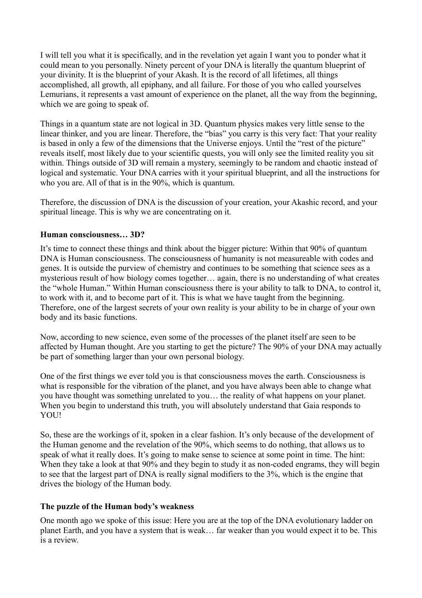I will tell you what it is specifically, and in the revelation yet again I want you to ponder what it could mean to you personally. Ninety percent of your DNA is literally the quantum blueprint of your divinity. It is the blueprint of your Akash. It is the record of all lifetimes, all things accomplished, all growth, all epiphany, and all failure. For those of you who called yourselves Lemurians, it represents a vast amount of experience on the planet, all the way from the beginning, which we are going to speak of.

Things in a quantum state are not logical in 3D. Quantum physics makes very little sense to the linear thinker, and you are linear. Therefore, the "bias" you carry is this very fact: That your reality is based in only a few of the dimensions that the Universe enjoys. Until the "rest of the picture" reveals itself, most likely due to your scientific quests, you will only see the limited reality you sit within. Things outside of 3D will remain a mystery, seemingly to be random and chaotic instead of logical and systematic. Your DNA carries with it your spiritual blueprint, and all the instructions for who you are. All of that is in the 90%, which is quantum.

Therefore, the discussion of DNA is the discussion of your creation, your Akashic record, and your spiritual lineage. This is why we are concentrating on it.

## **Human consciousness… 3D?**

It's time to connect these things and think about the bigger picture: Within that 90% of quantum DNA is Human consciousness. The consciousness of humanity is not measureable with codes and genes. It is outside the purview of chemistry and continues to be something that science sees as a mysterious result of how biology comes together… again, there is no understanding of what creates the "whole Human." Within Human consciousness there is your ability to talk to DNA, to control it, to work with it, and to become part of it. This is what we have taught from the beginning. Therefore, one of the largest secrets of your own reality is your ability to be in charge of your own body and its basic functions.

Now, according to new science, even some of the processes of the planet itself are seen to be affected by Human thought. Are you starting to get the picture? The 90% of your DNA may actually be part of something larger than your own personal biology.

One of the first things we ever told you is that consciousness moves the earth. Consciousness is what is responsible for the vibration of the planet, and you have always been able to change what you have thought was something unrelated to you… the reality of what happens on your planet. When you begin to understand this truth, you will absolutely understand that Gaia responds to YOU!

So, these are the workings of it, spoken in a clear fashion. It's only because of the development of the Human genome and the revelation of the 90%, which seems to do nothing, that allows us to speak of what it really does. It's going to make sense to science at some point in time. The hint: When they take a look at that 90% and they begin to study it as non-coded engrams, they will begin to see that the largest part of DNA is really signal modifiers to the 3%, which is the engine that drives the biology of the Human body.

#### **The puzzle of the Human body's weakness**

One month ago we spoke of this issue: Here you are at the top of the DNA evolutionary ladder on planet Earth, and you have a system that is weak… far weaker than you would expect it to be. This is a review.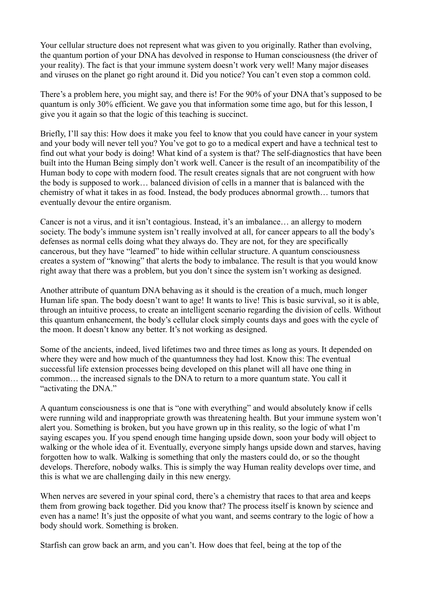Your cellular structure does not represent what was given to you originally. Rather than evolving, the quantum portion of your DNA has devolved in response to Human consciousness (the driver of your reality). The fact is that your immune system doesn't work very well! Many major diseases and viruses on the planet go right around it. Did you notice? You can't even stop a common cold.

There's a problem here, you might say, and there is! For the 90% of your DNA that's supposed to be quantum is only 30% efficient. We gave you that information some time ago, but for this lesson, I give you it again so that the logic of this teaching is succinct.

Briefly, I'll say this: How does it make you feel to know that you could have cancer in your system and your body will never tell you? You've got to go to a medical expert and have a technical test to find out what your body is doing! What kind of a system is that? The self-diagnostics that have been built into the Human Being simply don't work well. Cancer is the result of an incompatibility of the Human body to cope with modern food. The result creates signals that are not congruent with how the body is supposed to work… balanced division of cells in a manner that is balanced with the chemistry of what it takes in as food. Instead, the body produces abnormal growth… tumors that eventually devour the entire organism.

Cancer is not a virus, and it isn't contagious. Instead, it's an imbalance… an allergy to modern society. The body's immune system isn't really involved at all, for cancer appears to all the body's defenses as normal cells doing what they always do. They are not, for they are specifically cancerous, but they have "learned" to hide within cellular structure. A quantum consciousness creates a system of "knowing" that alerts the body to imbalance. The result is that you would know right away that there was a problem, but you don't since the system isn't working as designed.

Another attribute of quantum DNA behaving as it should is the creation of a much, much longer Human life span. The body doesn't want to age! It wants to live! This is basic survival, so it is able, through an intuitive process, to create an intelligent scenario regarding the division of cells. Without this quantum enhancement, the body's cellular clock simply counts days and goes with the cycle of the moon. It doesn't know any better. It's not working as designed.

Some of the ancients, indeed, lived lifetimes two and three times as long as yours. It depended on where they were and how much of the quantumness they had lost. Know this: The eventual successful life extension processes being developed on this planet will all have one thing in common… the increased signals to the DNA to return to a more quantum state. You call it "activating the DNA."

A quantum consciousness is one that is "one with everything" and would absolutely know if cells were running wild and inappropriate growth was threatening health. But your immune system won't alert you. Something is broken, but you have grown up in this reality, so the logic of what I'm saying escapes you. If you spend enough time hanging upside down, soon your body will object to walking or the whole idea of it. Eventually, everyone simply hangs upside down and starves, having forgotten how to walk. Walking is something that only the masters could do, or so the thought develops. Therefore, nobody walks. This is simply the way Human reality develops over time, and this is what we are challenging daily in this new energy.

When nerves are severed in your spinal cord, there's a chemistry that races to that area and keeps them from growing back together. Did you know that? The process itself is known by science and even has a name! It's just the opposite of what you want, and seems contrary to the logic of how a body should work. Something is broken.

Starfish can grow back an arm, and you can't. How does that feel, being at the top of the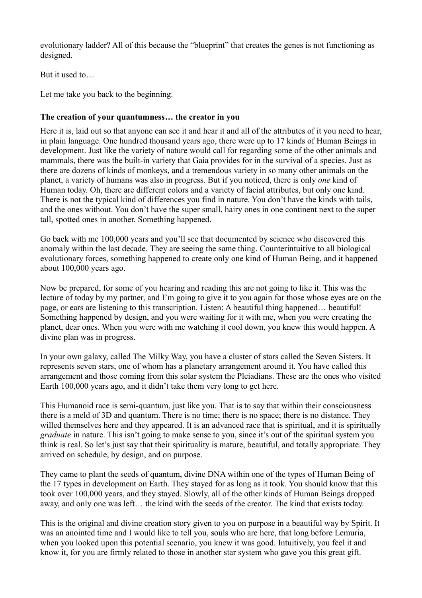evolutionary ladder? All of this because the "blueprint" that creates the genes is not functioning as designed.

But it used to…

Let me take you back to the beginning.

## **The creation of your quantumness… the creator in you**

Here it is, laid out so that anyone can see it and hear it and all of the attributes of it you need to hear, in plain language. One hundred thousand years ago, there were up to 17 kinds of Human Beings in development. Just like the variety of nature would call for regarding some of the other animals and mammals, there was the built-in variety that Gaia provides for in the survival of a species. Just as there are dozens of kinds of monkeys, and a tremendous variety in so many other animals on the planet, a variety of humans was also in progress. But if you noticed, there is only *one* kind of Human today. Oh, there are different colors and a variety of facial attributes, but only one kind. There is not the typical kind of differences you find in nature. You don't have the kinds with tails, and the ones without. You don't have the super small, hairy ones in one continent next to the super tall, spotted ones in another. Something happened.

Go back with me 100,000 years and you'll see that documented by science who discovered this anomaly within the last decade. They are seeing the same thing. Counterintuitive to all biological evolutionary forces, something happened to create only one kind of Human Being, and it happened about 100,000 years ago.

Now be prepared, for some of you hearing and reading this are not going to like it. This was the lecture of today by my partner, and I'm going to give it to you again for those whose eyes are on the page, or ears are listening to this transcription. Listen: A beautiful thing happened… beautiful! Something happened by design, and you were waiting for it with me, when you were creating the planet, dear ones. When you were with me watching it cool down, you knew this would happen. A divine plan was in progress.

In your own galaxy, called The Milky Way, you have a cluster of stars called the Seven Sisters. It represents seven stars, one of whom has a planetary arrangement around it. You have called this arrangement and those coming from this solar system the Pleiadians. These are the ones who visited Earth 100,000 years ago, and it didn't take them very long to get here.

This Humanoid race is semi-quantum, just like you. That is to say that within their consciousness there is a meld of 3D and quantum. There is no time; there is no space; there is no distance. They willed themselves here and they appeared. It is an advanced race that is spiritual, and it is spiritually *graduate* in nature. This isn't going to make sense to you, since it's out of the spiritual system you think is real. So let's just say that their spirituality is mature, beautiful, and totally appropriate. They arrived on schedule, by design, and on purpose.

They came to plant the seeds of quantum, divine DNA within one of the types of Human Being of the 17 types in development on Earth. They stayed for as long as it took. You should know that this took over 100,000 years, and they stayed. Slowly, all of the other kinds of Human Beings dropped away, and only one was left… the kind with the seeds of the creator. The kind that exists today.

This is the original and divine creation story given to you on purpose in a beautiful way by Spirit. It was an anointed time and I would like to tell you, souls who are here, that long before Lemuria, when you looked upon this potential scenario, you knew it was good. Intuitively, you feel it and know it, for you are firmly related to those in another star system who gave you this great gift.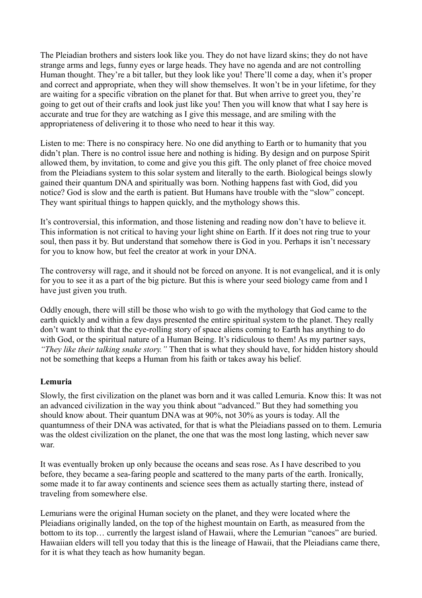The Pleiadian brothers and sisters look like you. They do not have lizard skins; they do not have strange arms and legs, funny eyes or large heads. They have no agenda and are not controlling Human thought. They're a bit taller, but they look like you! There'll come a day, when it's proper and correct and appropriate, when they will show themselves. It won't be in your lifetime, for they are waiting for a specific vibration on the planet for that. But when arrive to greet you, they're going to get out of their crafts and look just like you! Then you will know that what I say here is accurate and true for they are watching as I give this message, and are smiling with the appropriateness of delivering it to those who need to hear it this way.

Listen to me: There is no conspiracy here. No one did anything to Earth or to humanity that you didn't plan. There is no control issue here and nothing is hiding. By design and on purpose Spirit allowed them, by invitation, to come and give you this gift. The only planet of free choice moved from the Pleiadians system to this solar system and literally to the earth. Biological beings slowly gained their quantum DNA and spiritually was born. Nothing happens fast with God, did you notice? God is slow and the earth is patient. But Humans have trouble with the "slow" concept. They want spiritual things to happen quickly, and the mythology shows this.

It's controversial, this information, and those listening and reading now don't have to believe it. This information is not critical to having your light shine on Earth. If it does not ring true to your soul, then pass it by. But understand that somehow there is God in you. Perhaps it isn't necessary for you to know how, but feel the creator at work in your DNA.

The controversy will rage, and it should not be forced on anyone. It is not evangelical, and it is only for you to see it as a part of the big picture. But this is where your seed biology came from and I have just given you truth.

Oddly enough, there will still be those who wish to go with the mythology that God came to the earth quickly and within a few days presented the entire spiritual system to the planet. They really don't want to think that the eye-rolling story of space aliens coming to Earth has anything to do with God, or the spiritual nature of a Human Being. It's ridiculous to them! As my partner says, *"They like their talking snake story."* Then that is what they should have, for hidden history should not be something that keeps a Human from his faith or takes away his belief.

## **Lemuria**

Slowly, the first civilization on the planet was born and it was called Lemuria. Know this: It was not an advanced civilization in the way you think about "advanced." But they had something you should know about. Their quantum DNA was at 90%, not 30% as yours is today. All the quantumness of their DNA was activated, for that is what the Pleiadians passed on to them. Lemuria was the oldest civilization on the planet, the one that was the most long lasting, which never saw war.

It was eventually broken up only because the oceans and seas rose. As I have described to you before, they became a sea-faring people and scattered to the many parts of the earth. Ironically, some made it to far away continents and science sees them as actually starting there, instead of traveling from somewhere else.

Lemurians were the original Human society on the planet, and they were located where the Pleiadians originally landed, on the top of the highest mountain on Earth, as measured from the bottom to its top… currently the largest island of Hawaii, where the Lemurian "canoes" are buried. Hawaiian elders will tell you today that this is the lineage of Hawaii, that the Pleiadians came there, for it is what they teach as how humanity began.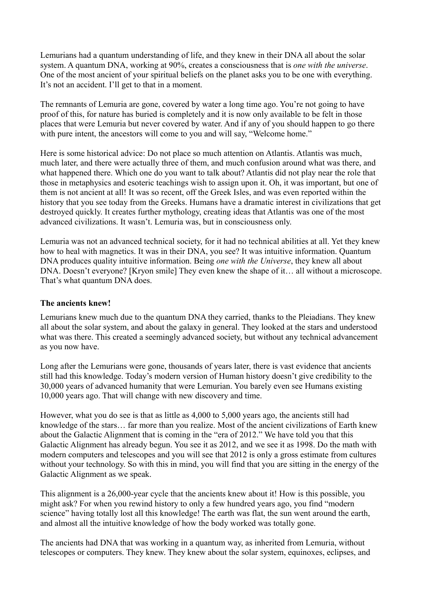Lemurians had a quantum understanding of life, and they knew in their DNA all about the solar system. A quantum DNA, working at 90%, creates a consciousness that is *one with the universe*. One of the most ancient of your spiritual beliefs on the planet asks you to be one with everything. It's not an accident. I'll get to that in a moment.

The remnants of Lemuria are gone, covered by water a long time ago. You're not going to have proof of this, for nature has buried is completely and it is now only available to be felt in those places that were Lemuria but never covered by water. And if any of you should happen to go there with pure intent, the ancestors will come to you and will say, "Welcome home."

Here is some historical advice: Do not place so much attention on Atlantis. Atlantis was much, much later, and there were actually three of them, and much confusion around what was there, and what happened there. Which one do you want to talk about? Atlantis did not play near the role that those in metaphysics and esoteric teachings wish to assign upon it. Oh, it was important, but one of them is not ancient at all! It was so recent, off the Greek Isles, and was even reported within the history that you see today from the Greeks. Humans have a dramatic interest in civilizations that get destroyed quickly. It creates further mythology, creating ideas that Atlantis was one of the most advanced civilizations. It wasn't. Lemuria was, but in consciousness only.

Lemuria was not an advanced technical society, for it had no technical abilities at all. Yet they knew how to heal with magnetics. It was in their DNA, you see? It was intuitive information. Quantum DNA produces quality intuitive information. Being *one with the Universe*, they knew all about DNA. Doesn't everyone? [Kryon smile] They even knew the shape of it… all without a microscope. That's what quantum DNA does.

### **The ancients knew!**

Lemurians knew much due to the quantum DNA they carried, thanks to the Pleiadians. They knew all about the solar system, and about the galaxy in general. They looked at the stars and understood what was there. This created a seemingly advanced society, but without any technical advancement as you now have.

Long after the Lemurians were gone, thousands of years later, there is vast evidence that ancients still had this knowledge. Today's modern version of Human history doesn't give credibility to the 30,000 years of advanced humanity that were Lemurian. You barely even see Humans existing 10,000 years ago. That will change with new discovery and time.

However, what you do see is that as little as 4,000 to 5,000 years ago, the ancients still had knowledge of the stars… far more than you realize. Most of the ancient civilizations of Earth knew about the Galactic Alignment that is coming in the "era of 2012." We have told you that this Galactic Alignment has already begun. You see it as 2012, and we see it as 1998. Do the math with modern computers and telescopes and you will see that 2012 is only a gross estimate from cultures without your technology. So with this in mind, you will find that you are sitting in the energy of the Galactic Alignment as we speak.

This alignment is a 26,000-year cycle that the ancients knew about it! How is this possible, you might ask? For when you rewind history to only a few hundred years ago, you find "modern science" having totally lost all this knowledge! The earth was flat, the sun went around the earth, and almost all the intuitive knowledge of how the body worked was totally gone.

The ancients had DNA that was working in a quantum way, as inherited from Lemuria, without telescopes or computers. They knew. They knew about the solar system, equinoxes, eclipses, and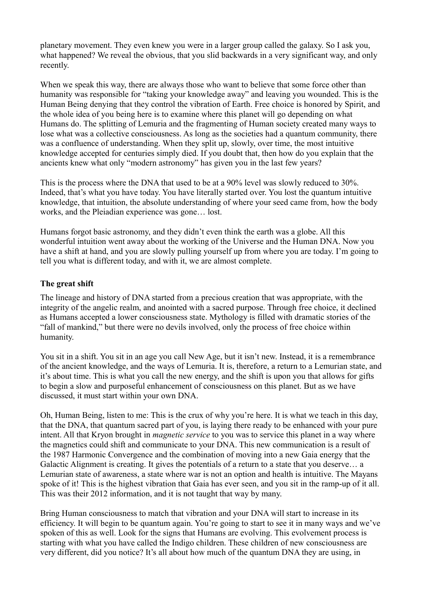planetary movement. They even knew you were in a larger group called the galaxy. So I ask you, what happened? We reveal the obvious, that you slid backwards in a very significant way, and only recently.

When we speak this way, there are always those who want to believe that some force other than humanity was responsible for "taking your knowledge away" and leaving you wounded. This is the Human Being denying that they control the vibration of Earth. Free choice is honored by Spirit, and the whole idea of you being here is to examine where this planet will go depending on what Humans do. The splitting of Lemuria and the fragmenting of Human society created many ways to lose what was a collective consciousness. As long as the societies had a quantum community, there was a confluence of understanding. When they split up, slowly, over time, the most intuitive knowledge accepted for centuries simply died. If you doubt that, then how do you explain that the ancients knew what only "modern astronomy" has given you in the last few years?

This is the process where the DNA that used to be at a 90% level was slowly reduced to 30%. Indeed, that's what you have today. You have literally started over. You lost the quantum intuitive knowledge, that intuition, the absolute understanding of where your seed came from, how the body works, and the Pleiadian experience was gone… lost.

Humans forgot basic astronomy, and they didn't even think the earth was a globe. All this wonderful intuition went away about the working of the Universe and the Human DNA. Now you have a shift at hand, and you are slowly pulling yourself up from where you are today. I'm going to tell you what is different today, and with it, we are almost complete.

## **The great shift**

The lineage and history of DNA started from a precious creation that was appropriate, with the integrity of the angelic realm, and anointed with a sacred purpose. Through free choice, it declined as Humans accepted a lower consciousness state. Mythology is filled with dramatic stories of the "fall of mankind," but there were no devils involved, only the process of free choice within humanity.

You sit in a shift. You sit in an age you call New Age, but it isn't new. Instead, it is a remembrance of the ancient knowledge, and the ways of Lemuria. It is, therefore, a return to a Lemurian state, and it's about time. This is what you call the new energy, and the shift is upon you that allows for gifts to begin a slow and purposeful enhancement of consciousness on this planet. But as we have discussed, it must start within your own DNA.

Oh, Human Being, listen to me: This is the crux of why you're here. It is what we teach in this day, that the DNA, that quantum sacred part of you, is laying there ready to be enhanced with your pure intent. All that Kryon brought in *magnetic service* to you was to service this planet in a way where the magnetics could shift and communicate to your DNA. This new communication is a result of the 1987 Harmonic Convergence and the combination of moving into a new Gaia energy that the Galactic Alignment is creating. It gives the potentials of a return to a state that you deserve… a Lemurian state of awareness, a state where war is not an option and health is intuitive. The Mayans spoke of it! This is the highest vibration that Gaia has ever seen, and you sit in the ramp-up of it all. This was their 2012 information, and it is not taught that way by many.

Bring Human consciousness to match that vibration and your DNA will start to increase in its efficiency. It will begin to be quantum again. You're going to start to see it in many ways and we've spoken of this as well. Look for the signs that Humans are evolving. This evolvement process is starting with what you have called the Indigo children. These children of new consciousness are very different, did you notice? It's all about how much of the quantum DNA they are using, in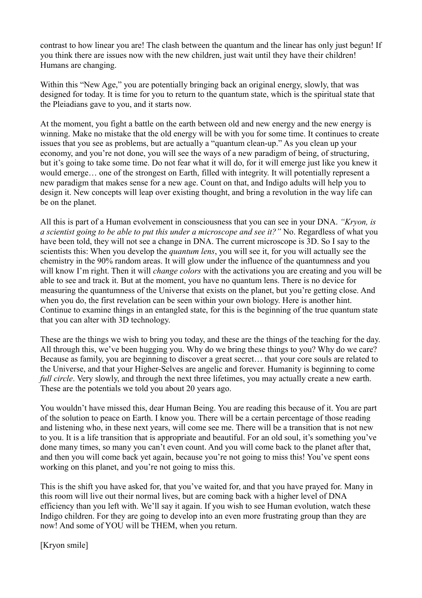contrast to how linear you are! The clash between the quantum and the linear has only just begun! If you think there are issues now with the new children, just wait until they have their children! Humans are changing.

Within this "New Age," you are potentially bringing back an original energy, slowly, that was designed for today. It is time for you to return to the quantum state, which is the spiritual state that the Pleiadians gave to you, and it starts now.

At the moment, you fight a battle on the earth between old and new energy and the new energy is winning. Make no mistake that the old energy will be with you for some time. It continues to create issues that you see as problems, but are actually a "quantum clean-up." As you clean up your economy, and you're not done, you will see the ways of a new paradigm of being, of structuring, but it's going to take some time. Do not fear what it will do, for it will emerge just like you knew it would emerge… one of the strongest on Earth, filled with integrity. It will potentially represent a new paradigm that makes sense for a new age. Count on that, and Indigo adults will help you to design it. New concepts will leap over existing thought, and bring a revolution in the way life can be on the planet.

All this is part of a Human evolvement in consciousness that you can see in your DNA. *"Kryon, is a scientist going to be able to put this under a microscope and see it?"* No. Regardless of what you have been told, they will not see a change in DNA. The current microscope is 3D. So I say to the scientists this: When you develop the *quantum lens*, you will see it, for you will actually see the chemistry in the 90% random areas. It will glow under the influence of the quantumness and you will know I'm right. Then it will *change colors* with the activations you are creating and you will be able to see and track it. But at the moment, you have no quantum lens. There is no device for measuring the quantumness of the Universe that exists on the planet, but you're getting close. And when you do, the first revelation can be seen within your own biology. Here is another hint. Continue to examine things in an entangled state, for this is the beginning of the true quantum state that you can alter with 3D technology.

These are the things we wish to bring you today, and these are the things of the teaching for the day. All through this, we've been hugging you. Why do we bring these things to you? Why do we care? Because as family, you are beginning to discover a great secret… that your core souls are related to the Universe, and that your Higher-Selves are angelic and forever. Humanity is beginning to come *full circle*. Very slowly, and through the next three lifetimes, you may actually create a new earth. These are the potentials we told you about 20 years ago.

You wouldn't have missed this, dear Human Being. You are reading this because of it. You are part of the solution to peace on Earth. I know you. There will be a certain percentage of those reading and listening who, in these next years, will come see me. There will be a transition that is not new to you. It is a life transition that is appropriate and beautiful. For an old soul, it's something you've done many times, so many you can't even count. And you will come back to the planet after that, and then you will come back yet again, because you're not going to miss this! You've spent eons working on this planet, and you're not going to miss this.

This is the shift you have asked for, that you've waited for, and that you have prayed for. Many in this room will live out their normal lives, but are coming back with a higher level of DNA efficiency than you left with. We'll say it again. If you wish to see Human evolution, watch these Indigo children. For they are going to develop into an even more frustrating group than they are now! And some of YOU will be THEM, when you return.

[Kryon smile]